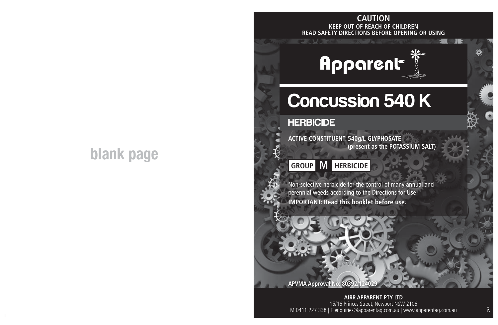# **blank page**

## **KEEP OUT OF REACH OF CHILDREN READ SAFETY DIRECTIONS BEFORE OPENING OR USING CAUTION**

 $= 0.31$ 

# Apparent

# Concussion 540 K

### **HERBICIDE**

**ACTIVE CONSTITUENT: 540g/L GLYPHOSATE (present as the POTASSIUM SALT)**

## **GROUP M HERBICIDE**

Non-selective herbicide for the control of many annual and perennial weeds according to the Directions for Use **IMPORTANT: Read this booklet before use.**

**APVMA Approval** 

ii aastad ka ka maanaa ka maanaa ka maanaa ka maanaa ka maanaa ka maanaa ka maanaa ka maanaa maanaa ka maanaa<br>Ii **AIRR APPARENT PTY LTD** 15/16 Princes Street, Newport NSW 2106 M 0411 227 338 | E enquiries@apparentag.com.au | www.apparentag.com.au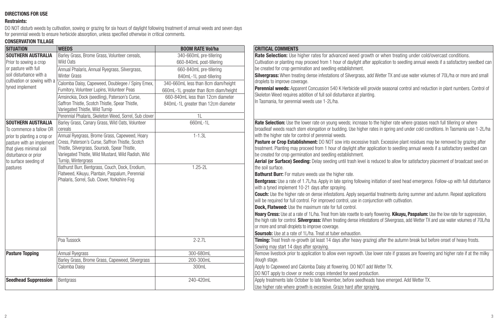#### **DIRECTIONS FOR USE**

#### **Restraints:**

DO NOT disturb weeds by cultivation, sowing or grazing for six hours of daylight following treatment of annual weeds and seven days<br>for perennial weeds to ensure herbicide absorption, unless specified otherwise in critical

#### **CONSERVATION TILLAGE**

| <b>SITUATION</b>                                     | <b>WEEDS</b>                                                                                      | <b>BOOM RATE Vol/ha</b>               | <b>CRITICAL COMMENTS</b>                                                                                                                                                         |
|------------------------------------------------------|---------------------------------------------------------------------------------------------------|---------------------------------------|----------------------------------------------------------------------------------------------------------------------------------------------------------------------------------|
| <b>SOUTHERN AUSTRALIA</b>                            | Barley Grass, Brome Grass, Volunteer cereals,                                                     | 340-660mL pre-tillering               | Rate Selection: Use higher rates for advanced weed growth or when treating under cold/overcast conditions.                                                                       |
| Prior to sowing a crop                               | Wild Oats                                                                                         | 660-840mL post-tillering              | Cultivation or planting may proceed from 1 hour of daylight after application to seedling annual weeds if a satisfactory seedbed can                                             |
| or pasture with full<br>soil disturbance with a      | Annual Phalaris, Annual Ryegrass, Silvergrass,                                                    | 660-840mL pre-tillering               | be created for crop germination and seedling establishment.                                                                                                                      |
|                                                      | <b>Winter Grass</b>                                                                               | 840mL-1L post-tillering               | <b>Silvergrass:</b> When treating dense infestations of Silvergrass, add Wetter TX and use water volumes of 70L/ha or more and small                                             |
| cultivation or sowing with a                         | Calomba Daisy, Capeweed, Doublegee / Spiny Emex,                                                  | 340-660mL less than 8cm diam/height   | droplets to improve coverage.                                                                                                                                                    |
| tyned implement                                      | Fumitory, Volunteer Lupins, Volunteer Peas                                                        | 660mL-1L greater than 8cm diam/height | Perennial weeds: Apparent Concussion 540 K Herbicide will provide seasonal control and reduction in plant numbers. Control of                                                    |
|                                                      | Amsinckia, Dock (seedling), Paterson's Curse,                                                     | 660-840ml less than 12cm diameter     | Skeleton Weed requires addition of full soil disturbance at planting.                                                                                                            |
|                                                      | Saffron Thistle, Scotch Thistle, Spear Thistle,                                                   | 840mL-1L greater than 12cm diameter   | In Tasmania, for perennial weeds use 1-2L/ha.                                                                                                                                    |
|                                                      | Variegated Thistle, Wild Turnip                                                                   |                                       |                                                                                                                                                                                  |
|                                                      | Perennial Phalaris, Skeleton Weed, Sorrel, Sub clover                                             | 1L                                    |                                                                                                                                                                                  |
| SOUTHERN AUSTRALIA                                   | Barley Grass, Canary Grass, Wild Oats, Volunteer                                                  | 660mL-1L                              | Rate Selection: Use the lower rate on young weeds; increase to the higher rate where grasses reach full tillering or where                                                       |
| To commence a fallow OR                              | cereals                                                                                           |                                       | broadleaf weeds reach stem elongation or budding. Use higher rates in spring and under cold conditions. In Tasmania use 1-2L/ha                                                  |
| prior to planting a crop or                          | Annual Ryegrass, Brome Grass, Capeweed, Hoary<br>Cress, Paterson's Curse, Saffron Thistle, Scotch | $1 - 1.3L$                            | with the higher rate for control of perennial weeds.<br>Pasture or Crop Establishment: DO NOT sow into excessive trash. Excessive plant residues may be removed by grazing after |
| pasture with an implement<br>that gives minimal soil | Thistle, Silvergrass, Soursob, Spear Thistle,                                                     |                                       | treatment. Planting may proceed from 1 hour of daylight after application to seedling annual weeds if a satisfactory seedbed can                                                 |
| disturbance or prior                                 | Variegated Thistle, Wild Mustard, Wild Radish, Wild                                               |                                       | be created for crop germination and seedling establishment.                                                                                                                      |
| to surface seeding of                                | Turnip, Wintergrass                                                                               |                                       | Aerial (or Surface) Seeding: Delay seeding until trash level is reduced to allow for satisfactory placement of broadcast seed on                                                 |
| pastures                                             | Bathurst Burr, Bentgrass, Couch, Dock, Erodium,                                                   | $1.25 - 2L$                           | the soil surface.                                                                                                                                                                |
|                                                      | Flatweed, Kikuyu, Plantain, Paspalum, Perennial                                                   |                                       | Bathurst Burr: For mature weeds use the higher rate.                                                                                                                             |
|                                                      | Phalaris, Sorrel, Sub. Clover, Yorkshire Fog                                                      |                                       | Bentgrass: Use a rate of 1.7L/ha. Apply in late spring following initiation of seed head emergence. Follow-up with full disturbance                                              |
|                                                      |                                                                                                   |                                       | with a tyned implement 10-21 days after spraying.                                                                                                                                |
|                                                      |                                                                                                   |                                       | <b>Couch:</b> Use the higher rate on dense infestations. Apply sequential treatments during summer and autumn. Repeat applications                                               |
|                                                      |                                                                                                   |                                       | will be required for full control. For improved control, use in conjunction with cultivation.                                                                                    |
|                                                      |                                                                                                   |                                       | <b>Dock. Flatweed:</b> Use the maximum rate for full control.                                                                                                                    |
|                                                      |                                                                                                   |                                       | Hoary Cress: Use at a rate of 1L/ha. Treat from late rosette to early flowering. Kikuyu, Paspalum: Use the low rate for suppression,                                             |
|                                                      |                                                                                                   |                                       | the high rate for control. Silvergrass: When treating dense infestations of Silvergrass, add Wetter TX and use water volumes of 70L/ha                                           |
|                                                      |                                                                                                   |                                       | or more and small droplets to improve coverage.<br><b>Soursob:</b> Use at a rate of 1L/ha. Treat at tuber exhaustion.                                                            |
|                                                      | Poa Tussock                                                                                       | $2 - 2.7L$                            | Timing: Treat fresh re-growth (at least 14 days after heavy grazing) after the autumn break but before onset of heavy frosts.                                                    |
|                                                      |                                                                                                   |                                       | Sowing may start 14 days after spraying.                                                                                                                                         |
| <b>Pasture Topping</b>                               | Annual Ryegrass                                                                                   | 300-680mL                             | Remove livestock prior to application to allow even regrowth. Use lower rate if grasses are flowering and higher rate if at the milky                                            |
|                                                      | Barley Grass, Brome Grass, Capeweed, Silvergrass                                                  | 200-300mL                             | dough stage.                                                                                                                                                                     |
|                                                      | Calomba Daisy                                                                                     | 300mL                                 | Apply to Capeweed and Calomba Daisy at flowering. DO NOT add Wetter TX.                                                                                                          |
|                                                      |                                                                                                   |                                       | DO NOT apply to clover or medic crops intended for seed production.                                                                                                              |
| <b>Seedhead Suppression</b>                          | Bentarass                                                                                         | 240-420ml                             | Apply treatments late October to late November, before seedheads have emerged. Add Wetter TX.                                                                                    |
|                                                      |                                                                                                   |                                       | Use higher rate where growth is excessive. Graze hard after spraying.                                                                                                            |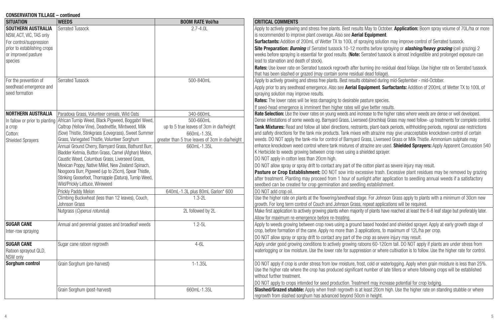| <b>CONSERVATION TILLAGE - continued</b>                                                                                        |                                                                                                                                                                                                                                                                                                                                                                                                                                                                                                                                                                                                                                                                                                                                                                                                   |                                                                                                                                                                                                                            |                                                                                                                                                                                                                                                                                                                                                                                                                                                                                                                                                                                                                                                                                                                                                                                                                                                                                                                                                                                                                                                                                                                                                                                                                                                                                                                                                                                                                                                                                                                                                                                                                                                                                                                                                                              |
|--------------------------------------------------------------------------------------------------------------------------------|---------------------------------------------------------------------------------------------------------------------------------------------------------------------------------------------------------------------------------------------------------------------------------------------------------------------------------------------------------------------------------------------------------------------------------------------------------------------------------------------------------------------------------------------------------------------------------------------------------------------------------------------------------------------------------------------------------------------------------------------------------------------------------------------------|----------------------------------------------------------------------------------------------------------------------------------------------------------------------------------------------------------------------------|------------------------------------------------------------------------------------------------------------------------------------------------------------------------------------------------------------------------------------------------------------------------------------------------------------------------------------------------------------------------------------------------------------------------------------------------------------------------------------------------------------------------------------------------------------------------------------------------------------------------------------------------------------------------------------------------------------------------------------------------------------------------------------------------------------------------------------------------------------------------------------------------------------------------------------------------------------------------------------------------------------------------------------------------------------------------------------------------------------------------------------------------------------------------------------------------------------------------------------------------------------------------------------------------------------------------------------------------------------------------------------------------------------------------------------------------------------------------------------------------------------------------------------------------------------------------------------------------------------------------------------------------------------------------------------------------------------------------------------------------------------------------------|
| <b>SITUATION</b>                                                                                                               | <b>WEEDS</b>                                                                                                                                                                                                                                                                                                                                                                                                                                                                                                                                                                                                                                                                                                                                                                                      | <b>BOOM RATE Vol/ha</b>                                                                                                                                                                                                    | <b>CRITICAL COMMENTS</b>                                                                                                                                                                                                                                                                                                                                                                                                                                                                                                                                                                                                                                                                                                                                                                                                                                                                                                                                                                                                                                                                                                                                                                                                                                                                                                                                                                                                                                                                                                                                                                                                                                                                                                                                                     |
| SOUTHERN AUSTRALIA<br>NSW, ACT, VIC, TAS only<br>For control/suppression<br>prior to establishing crops<br>or improved pasture | Serrated Tussock                                                                                                                                                                                                                                                                                                                                                                                                                                                                                                                                                                                                                                                                                                                                                                                  | $2.7 - 4.0L$                                                                                                                                                                                                               | Apply to actively growing and stress free plants. Best results May to October. Application: Boom spray volume of 70L/ha or more<br>is recommended to improve plant coverage. Also see Aerial Equipment.<br><b>Surfactants:</b> Addition of 200mL of Wetter TX to 100L of spraying solution may improve control of Serrated tussock.<br>Site Preparation: Burning of Serrated tussock 10-12 months before spraying or <b>slashing/heavy grazing</b> (cell grazing) 2<br>weeks before spraying is essential for good results. (Note: Serrated tussock is almost indigestible and prolonged exposure can                                                                                                                                                                                                                                                                                                                                                                                                                                                                                                                                                                                                                                                                                                                                                                                                                                                                                                                                                                                                                                                                                                                                                                        |
| species                                                                                                                        |                                                                                                                                                                                                                                                                                                                                                                                                                                                                                                                                                                                                                                                                                                                                                                                                   |                                                                                                                                                                                                                            | lead to starvation and death of stock).<br>Rates: Use lower rate on Serrated tussock regrowth after burning (no residual dead foliage. Use higher rate on Serrated tussock<br>that has been slashed or grazed (may contain some residual dead foliage).                                                                                                                                                                                                                                                                                                                                                                                                                                                                                                                                                                                                                                                                                                                                                                                                                                                                                                                                                                                                                                                                                                                                                                                                                                                                                                                                                                                                                                                                                                                      |
| For the prevention of<br>seedhead emergence and<br>seed formation                                                              | <b>Serrated Tussock</b>                                                                                                                                                                                                                                                                                                                                                                                                                                                                                                                                                                                                                                                                                                                                                                           | 500-840mL                                                                                                                                                                                                                  | Apply to actively growing and stress free plants. Best results obtained during mid-September - mid-October.<br>Apply prior to any seedhead emergence. Also see Aerial Equipment. Surfactants: Addition of 200mL of Wetter TX to 100L of<br>spraying solution may improve results.<br>Rates: The lower rates will be less damaging to desirable pasture species.<br>If seed-head emergence is imminent then higher rates will give better results.                                                                                                                                                                                                                                                                                                                                                                                                                                                                                                                                                                                                                                                                                                                                                                                                                                                                                                                                                                                                                                                                                                                                                                                                                                                                                                                            |
| <b>NORTHERN AUSTRALIA</b><br>a crop<br>Cotton:<br><b>Shielded Spravers</b>                                                     | Paradoxa Grass, Volunteer cereals, Wild Oats<br>In fallow or prior to planting African Turnip Weed, Black Pigweed, Boggabri Weed,<br>Caltrop (Yellow Vine), Deadnettle, Mintweed, Milk<br>(Sow) Thistle, Stinkgrass (Lovegrass), Sweet Summer<br>Grass, Variegated Thistle, Volunteer Sorghum<br>Annual Ground Cherry, Barnyard Grass, Bathurst Burr,<br>Bladder Ketmia, Button Grass, Camel (Afghan) Melon,<br>Caustic Weed. Columbus Grass. Liverseed Grass.<br>Mexican Poppy, Native Millet, New Zealand Spinach,<br>Noogoora Burr, Pigweed (up to 25cm), Spear Thistle,<br>Stinking Goosefoot, Thornapple (Datura), Turnip Weed,<br>Wild/Prickly Lettuce, Wireweed<br>Prickly Paddy Melon<br>Climbing Buckwheat (less than 12 leaves), Couch,<br>Johnson Grass<br>Nutgrass (Cyperus rotundus) | 340-660mL<br>500-660mL<br>up to 5 true leaves of 3cm in dia/height<br>660mL-1.35L<br>greater than 5 true leaves of 3cm in dia/height<br>660mL-1.35L<br>640mL-1.3L plus 80mL Garlon* 600<br>$1.3 - 2L$<br>2L followed by 2L | Rate Selection: Use the lower rates on young weeds and increase to the higher rates where weeds are dense or well developed.<br>Dense infestations of some weeds eg. Barnyard Grass, Liverseed (Urochloa) Grass may need follow- up treatments for complete control.<br>Tank Mixtures: Read and follow all label directions, restraints, plant-back periods, withholding periods, regional use restrictions<br>and safety directions for the tank mix products. Tank mixes with atrazine may give unacceptable knockdown control of certain<br>weeds. DO NOT apply the tank-mix for control of Barnyard Grass, Liverseed Grass or Milk Thistle. Ammonium sulphate may<br>enhance knockdown weed control where tank mixtures of atrazine are used. Shielded Sprayers: Apply Apparent Concussion 540<br>K Herbicide to weeds growing between crop rows using a shielded sprayer.<br>DO NOT apply in cotton less than 20cm high.<br>DO NOT allow spray or spray drift to contact any part of the cotton plant as severe injury may result.<br>Pasture or Crop Establishment: DO NOT sow into excessive trash. Excessive plant residues may be removed by grazing<br>after treatment. Planting may proceed from 1 hour of sunlight after application to seedling annual weeds if a satisfactory<br>seedbed can be created for crop germination and seedling establishment.<br>DO NOT add crop oil.<br>Use the higher rate on plants at the flowering/seedhead stage. For Johnson Grass apply to plants with a minimum of 30cm new<br>growth. For long term control of Couch and Johnson Grass, repeat applications will be required.<br>Make first application to actively growing plants when majority of plants have reached at least the 6-8 leaf stage but preferably later. |
| <b>SUGAR CANE</b><br>Inter-row spraying                                                                                        | Annual and perennial grasses and broadleaf weeds                                                                                                                                                                                                                                                                                                                                                                                                                                                                                                                                                                                                                                                                                                                                                  | $1.2 - 5L$                                                                                                                                                                                                                 | Allow for maximum re-emergence before re-treating.<br>Apply to weeds growing between crop rows using a ground based hooded and shielded sprayer. Apply at early growth stage of<br>crop, before formation of the cane. Apply no more than 3 applications, to maximum of 12L/ha per crop.<br>DO NOT allow spray or spray drift to contact any part of the crop as severe injury may result.                                                                                                                                                                                                                                                                                                                                                                                                                                                                                                                                                                                                                                                                                                                                                                                                                                                                                                                                                                                                                                                                                                                                                                                                                                                                                                                                                                                   |
| <b>SUGAR CANE</b><br>Ratoon sprayout QLD,<br>NSW only                                                                          | Sugar cane ratoon regrowth                                                                                                                                                                                                                                                                                                                                                                                                                                                                                                                                                                                                                                                                                                                                                                        | $4 - 61$                                                                                                                                                                                                                   | Apply under good growing conditions to actively growing ratoons 60-120cm tall. DO NOT apply if plants are under stress from<br>waterlogging or low moisture. Use the lower rate for suppression or where cultivation is to follow. Use the higher rate for control.                                                                                                                                                                                                                                                                                                                                                                                                                                                                                                                                                                                                                                                                                                                                                                                                                                                                                                                                                                                                                                                                                                                                                                                                                                                                                                                                                                                                                                                                                                          |
| Sorghum control                                                                                                                | Grain Sorghum (pre-harvest)                                                                                                                                                                                                                                                                                                                                                                                                                                                                                                                                                                                                                                                                                                                                                                       | $1 - 1.35L$                                                                                                                                                                                                                | DO NOT apply if crop is under stress from low moisture, frost, cold or waterlogging. Apply when grain moisture is less than 25%.<br>Use the higher rate where the crop has produced significant number of late tillers or where following crops will be established<br>without further treatment.<br>DO NOT apply to crops intended for seed production. Treatment may increase potential for crop lodging.                                                                                                                                                                                                                                                                                                                                                                                                                                                                                                                                                                                                                                                                                                                                                                                                                                                                                                                                                                                                                                                                                                                                                                                                                                                                                                                                                                  |
|                                                                                                                                | Grain Sorghum (post-harvest)                                                                                                                                                                                                                                                                                                                                                                                                                                                                                                                                                                                                                                                                                                                                                                      | 660mL-1.35L                                                                                                                                                                                                                | Slashed/Grazed stubble: Apply when fresh regrowth is at least 20cm high. Use the higher rate on standing stubble or where<br>regrowth from slashed sorghum has advanced beyond 50cm in height.                                                                                                                                                                                                                                                                                                                                                                                                                                                                                                                                                                                                                                                                                                                                                                                                                                                                                                                                                                                                                                                                                                                                                                                                                                                                                                                                                                                                                                                                                                                                                                               |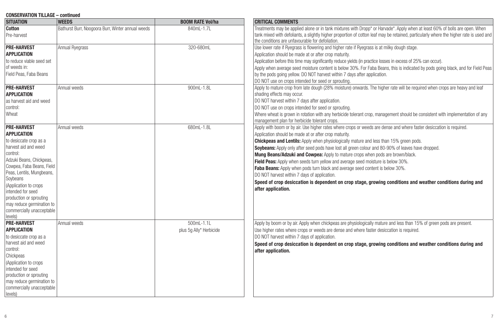| <b>CONSERVATION TILLAGE - continued</b>                                                                                                                                                                                                                                                                                                                |                                                   |                                           |                                                                                                                                                                                                                                                                                                                                                                                                                                                                                                                                                                                                                                                                                                                                                                                                                                        |  |  |
|--------------------------------------------------------------------------------------------------------------------------------------------------------------------------------------------------------------------------------------------------------------------------------------------------------------------------------------------------------|---------------------------------------------------|-------------------------------------------|----------------------------------------------------------------------------------------------------------------------------------------------------------------------------------------------------------------------------------------------------------------------------------------------------------------------------------------------------------------------------------------------------------------------------------------------------------------------------------------------------------------------------------------------------------------------------------------------------------------------------------------------------------------------------------------------------------------------------------------------------------------------------------------------------------------------------------------|--|--|
| <b>SITUATION</b>                                                                                                                                                                                                                                                                                                                                       | <b>WEEDS</b>                                      | <b>BOOM RATE Vol/ha</b>                   | <b>CRITICAL COMMENTS</b>                                                                                                                                                                                                                                                                                                                                                                                                                                                                                                                                                                                                                                                                                                                                                                                                               |  |  |
| <b>Cotton</b><br>Pre-harvest                                                                                                                                                                                                                                                                                                                           | Bathurst Burr, Noogoora Burr, Winter annual weeds | 840ml -1.7l                               | Treatments may be applied alone or in tank mixtures with Dropp* or Harvade*. Apply when at least 60% of bolls are open. When<br>tank mixed with defoliants, a slightly higher proportion of cotton leaf may be retained, particularly where the higher rate is used and<br>the conditions are unfavourable for defoliation.                                                                                                                                                                                                                                                                                                                                                                                                                                                                                                            |  |  |
| <b>PRE-HARVEST</b><br><b>APPLICATION</b><br>to reduce viable seed set<br>of weeds in:<br>Field Peas, Faba Beans                                                                                                                                                                                                                                        | <b>Annual Ryegrass</b>                            | 320-680mL                                 | Use lower rate if Ryegrass is flowering and higher rate if Ryegrass is at milky dough stage.<br>Application should be made at or after crop maturity.<br>Application before this time may significantly reduce yields (in practice losses in excess of 25% can occur).<br>Apply when average seed moisture content is below 30%. For Faba Beans, this is indicated by pods going black, and for Field Peas<br>by the pods going yellow. DO NOT harvest within 7 days after application.<br>DO NOT use on crops intended for seed or sprouting.                                                                                                                                                                                                                                                                                         |  |  |
| <b>PRE-HARVEST</b><br><b>APPLICATION</b><br>as harvest aid and weed<br>control:<br>Wheat                                                                                                                                                                                                                                                               | Annual weeds                                      | 900mL-1.8L                                | Apply to mature crop from late dough (28% moisture) onwards. The higher rate will be required when crops are heavy and leaf<br>shading effects may occur.<br>DO NOT harvest within 7 days after application.<br>DO NOT use on crops intended for seed or sprouting.<br>Where wheat is grown in rotation with any herbicide tolerant crop, management should be consistent with implementation of any<br>management plan for herbicide tolerant crops.                                                                                                                                                                                                                                                                                                                                                                                  |  |  |
| <b>PRE-HARVEST</b><br><b>APPLICATION</b><br>to desiccate crop as a<br>harvest aid and weed<br>control:<br>Adzuki Beans, Chickpeas,<br>Cowpea, Faba Beans, Field<br>Peas, Lentils, Mungbeans,<br>Soybeans<br>(Application to crops<br>intended for seed<br>production or sprouting<br>may reduce germination to<br>commercially unacceptable<br>levels) | Annual weeds                                      | 680mL-1.8L                                | Apply with boom or by air. Use higher rates where crops or weeds are dense and where faster desiccation is required.<br>Application should be made at or after crop maturity.<br><b>Chickpeas and Lentils:</b> Apply when physiologically mature and less than 15% green pods.<br><b>Soybeans:</b> Apply only after seed pods have lost all green colour and 80-90% of leaves have dropped.<br>Mung Beans/Adzuki and Cowpea: Apply to mature crops when pods are brown/black.<br>Field Peas: Apply when seeds turn yellow and average seed moisture is below 30%.<br>Faba Beans: Apply when pods turn black and average seed content is below 30%.<br>DO NOT harvest within 7 days of application.<br>Speed of crop desiccation is dependent on crop stage, growing conditions and weather conditions during and<br>after application. |  |  |
| <b>PRE-HARVEST</b><br><b>APPLICATION</b><br>to desiccate crop as a<br>harvest aid and weed<br>control:<br>Chickpeas<br>(Application to crops<br>intended for seed<br>production or sprouting<br>may reduce germination to<br>commercially unacceptable<br>levels)                                                                                      | Annual weeds                                      | $500ml - 1.1l$<br>plus 5q Ally* Herbicide | Apply by boom or by air. Apply when chickpeas are physiologically mature and less than 15% of green pods are present.<br>Use higher rates where crops or weeds are dense and where faster desiccation is required.<br>DO NOT harvest within 7 days of application.<br>Speed of crop desiccation is dependent on crop stage, growing conditions and weather conditions during and<br>after application.                                                                                                                                                                                                                                                                                                                                                                                                                                 |  |  |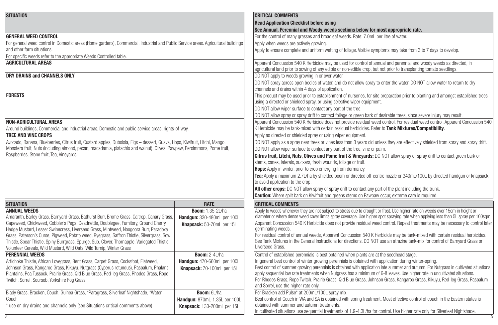| <b>SITUATION</b>                                                                                                                   |                               | <b>CRITICAL COMMENTS</b>                                                                                                                                                                                                                                            |
|------------------------------------------------------------------------------------------------------------------------------------|-------------------------------|---------------------------------------------------------------------------------------------------------------------------------------------------------------------------------------------------------------------------------------------------------------------|
|                                                                                                                                    |                               | <b>Read Application Checklist before using</b>                                                                                                                                                                                                                      |
|                                                                                                                                    |                               | See Annual, Perennial and Woody weeds sections below for most appropriate rate.                                                                                                                                                                                     |
| <b>GENERAL WEED CONTROL</b>                                                                                                        |                               | For the control of many grasses and broadleaf weeds. Rate: 7.0mL per litre of water.                                                                                                                                                                                |
| For general weed control in Domestic areas (Home gardens), Commercial, Industrial and Public Service areas. Agricultural buildings |                               | Apply when weeds are actively growing.                                                                                                                                                                                                                              |
| and other farm situations.                                                                                                         |                               | Apply to ensure complete and uniform wetting of foliage. Visible symptoms may take from 3 to 7 days to develop.                                                                                                                                                     |
| For specific weeds refer to the appropriate Weeds Controlled table.                                                                |                               |                                                                                                                                                                                                                                                                     |
| <b>AGRICULTURAL AREAS</b>                                                                                                          |                               | Apparent Concussion 540 K Herbicide may be used for control of annual and perennial and woody weeds as directed, in                                                                                                                                                 |
|                                                                                                                                    |                               | agricultural land prior to sowing of any edible or non-edible crop, but not prior to transplanting tomato seedlings.                                                                                                                                                |
| DRY DRAINS and CHANNELS ONLY                                                                                                       |                               | DO NOT apply to weeds growing in or over water.                                                                                                                                                                                                                     |
|                                                                                                                                    |                               | DO NOT spray across open bodies of water, and do not allow spray to enter the water. DO NOT allow water to return to dry                                                                                                                                            |
|                                                                                                                                    |                               | channels and drains within 4 days of application.                                                                                                                                                                                                                   |
| <b>FORESTS</b>                                                                                                                     |                               | This product may be used prior to establishment of nurseries, for site preparation prior to planting and amongst established trees                                                                                                                                  |
|                                                                                                                                    |                               | using a directed or shielded spray, or using selective wiper equipment.                                                                                                                                                                                             |
|                                                                                                                                    |                               | DO NOT allow wiper surface to contact any part of the tree.                                                                                                                                                                                                         |
|                                                                                                                                    |                               | DO NOT allow spray or spray drift to contact foliage or green bark of desirable trees, since severe injury may result.                                                                                                                                              |
| <b>NON-AGRICULTURAL AREAS</b>                                                                                                      |                               | Apparent Concussion 540 K Herbicide does not provide residual weed control. For residual weed control, Apparent Concussion 540                                                                                                                                      |
| Around buildings, Commercial and Industrial areas, Domestic and public service areas, rights-of-way.                               |                               | K Herbicide may be tank-mixed with certain residual herbicides. Refer to Tank Mixtures/Compatibility.                                                                                                                                                               |
| <b>TREE AND VINE CROPS</b>                                                                                                         |                               | Apply as directed or shielded spray or using wiper equipment.                                                                                                                                                                                                       |
| Avocado, Banana, Blueberries, Citrus fruit, Custard apples, Duboisia, Figs - dessert, Guava, Hops, Kiwifruit, Litchi, Mango,       |                               | DO NOT apply as a spray near trees or vines less than 3 years old unless they are effectively shielded from spray and spray drift.                                                                                                                                  |
| Monstera fruit, Nuts (including almond, pecan, macadamia, pistachio and walnut), Olives, Pawpaw, Persimmons, Pome fruit,           |                               | DO NOT allow wiper surface to contact any part of the tree, vine or palm.                                                                                                                                                                                           |
| Raspberries, Stone fruit, Tea, Vineyards.                                                                                          |                               | Citrus fruit, Litchi, Nuts, Olives and Pome fruit & Vineyards: DO NOT allow spray or spray drift to contact green bark or                                                                                                                                           |
|                                                                                                                                    |                               | stems, canes, laterals, suckers, fresh wounds, foliage or fruit.                                                                                                                                                                                                    |
|                                                                                                                                    |                               | Hops: Apply in winter, prior to crop emerging from dormancy.                                                                                                                                                                                                        |
|                                                                                                                                    |                               | Tea: Apply a maximum 2.7L/ha by shielded boom or directed off-centre nozzle or 340mL/100L by directed handqun or knapsack                                                                                                                                           |
|                                                                                                                                    |                               | to avoid application to the crop.                                                                                                                                                                                                                                   |
|                                                                                                                                    |                               | All other crops: DO NOT allow spray or spray drift to contact any part of the plant including the trunk.                                                                                                                                                            |
|                                                                                                                                    |                               |                                                                                                                                                                                                                                                                     |
|                                                                                                                                    |                               | <b>Caution:</b> Where split bark on Kiwifruit and greens stems on Pawpaw occur, extreme care is required.                                                                                                                                                           |
| <b>SITUATION</b>                                                                                                                   | <b>RATE</b>                   | <b>CRITICAL COMMENTS</b>                                                                                                                                                                                                                                            |
| <b>ANNUAL WEEDS</b>                                                                                                                | <b>Boom: 1.35-2L/ha</b>       | Apply to weeds whenever they are not subject to stress due to drought or frost. Use higher rate on weeds over 15cm in height or                                                                                                                                     |
| Amaranth, Barley Grass, Barnyard Grass, Bathurst Burr, Brome Grass, Caltrop, Canary Grass,                                         | Handgun: 330-480mL per 100L   | diameter or where dense weed cover limits spray coverage. Use higher spot spraying rate when applying less than 5L spray per 100sqm.                                                                                                                                |
| Capeweed, Chickweed, Cobbler's Pegs, Deadnettle, Doublegee, Fumitory, Ground Cherry,                                               | Knapsack: 50-70mL per 15L     | Apparent Concussion 540 K Herbicide does not provide residual weed control. Repeat treatments may be necessary to control later                                                                                                                                     |
| Hedge Mustard, Lesser Swinecress, Liverseed Grass, Mintweed, Noogoora Burr, Paradoxa                                               |                               | germinating weeds.                                                                                                                                                                                                                                                  |
| Grass, Paterson's Curse, Pigweed, Potato weed, Ryegrass, Saffron Thistle, Silvergrass, Sow                                         |                               | For residual control of annual weeds, Apparent Concussion 540 K Herbicide may be tank-mixed with certain residual herbicides.<br>See Tank Mixtures in the General Instructions for directions. DO NOT use an atrazine tank-mix for control of Barnyard Grass or     |
| Thistle, Spear Thistle, Spiny Burrgrass, Spurge, Sub. Clover, Thornapple, Variegated Thistle,                                      |                               | Liverseed Grass.                                                                                                                                                                                                                                                    |
| Volunteer Cereals, Wild Mustard, Wild Oats, Wild Turnip, Winter Grass                                                              |                               |                                                                                                                                                                                                                                                                     |
| <b>PERENNIAL WEEDS</b>                                                                                                             | <b>Boom: 2-4L/ha</b>          | Control of established perennials is best obtained when plants are at the seedhead stage.                                                                                                                                                                           |
| Artichoke Thistle, African Lovegrass, Bent Grass, Carpet Grass, Cocksfoot, Flatweed,                                               | Handgun: 470-660mL per 100L   | In general best control of winter growing perennials is obtained with application during winter-spring.                                                                                                                                                             |
| Johnson Grass, Kangaroo Grass, Kikuyu, Nutgrass (Cyperus rotundus), Paspalum, Phalaris,                                            | Knapsack: 70-100mL per 15L    | Best control of summer growing perennials is obtained with application late summer and autumn. For Nutgrass in cultivated situations<br>apply sequential low rate treatments when Nutgrass has a minimum of 6-8 leaves. Use higher rate in uncultivated situations. |
| Plantains, Poa Tussock, Prairie Grass, Qld Blue Grass, Red-leg Grass, Rhodes Grass, Rope                                           |                               | For Rhodes Grass, Rope Twitch, Prairie Grass, Qld Blue Grass, Johnson Grass, Kangaroo Grass, Kikuyu, Red-leg Grass, Paspalum                                                                                                                                        |
| Twitch, Sorrel, Soursob, Yorkshire Fog Grass                                                                                       |                               | and Sorrel, use the higher rate only.                                                                                                                                                                                                                               |
|                                                                                                                                    | Boom: 6l /ha                  | For Bracken add Pulse* at 200mL/100L spray mix.                                                                                                                                                                                                                     |
| Blady Grass, Bracken, Couch, Guinea Grass, *Paragrass, Silverleaf Nightshade, *Water<br>Couch                                      |                               | Best control of Couch in WA and SA is obtained with spring treatment. Most effective control of couch in the Eastern states is                                                                                                                                      |
|                                                                                                                                    | Handgun: 870mL-1.35L per 100L | obtained with summer and autumn treatments.                                                                                                                                                                                                                         |
| use on dry drains and channels only (see Situations critical comments above).<br>Knapsack: 130-200mL per 15L                       |                               | In cultivated situations use sequential treatments of 1.9-4.3L/ha for control. Use higher rate only for Silverleaf Nightshade.                                                                                                                                      |
|                                                                                                                                    |                               |                                                                                                                                                                                                                                                                     |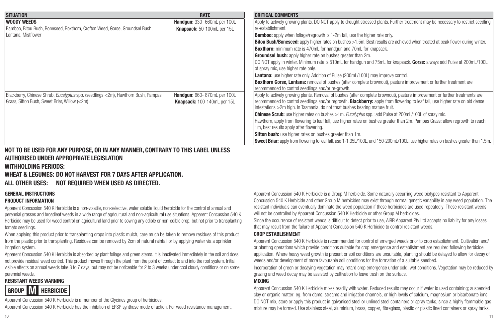| <b>SITUATION</b>                                                                                                                                                                                        | <b>RATE</b>                                                | <b>CRITICAL COMMENTS</b>                                                                                                                                                                                                                                                                                                                                                                                                                                                                                                                                                                                                                                                                                                                                                                                                                                                                                                             |
|---------------------------------------------------------------------------------------------------------------------------------------------------------------------------------------------------------|------------------------------------------------------------|--------------------------------------------------------------------------------------------------------------------------------------------------------------------------------------------------------------------------------------------------------------------------------------------------------------------------------------------------------------------------------------------------------------------------------------------------------------------------------------------------------------------------------------------------------------------------------------------------------------------------------------------------------------------------------------------------------------------------------------------------------------------------------------------------------------------------------------------------------------------------------------------------------------------------------------|
| <b>WOODY WEEDS</b><br>Bamboo, Bitou Bush, Boneseed, Boxthorn, Crofton Weed, Gorse, Groundsel Bush,<br>Lantana, Mistflower                                                                               | Handgun: 330- 660mL per 100L<br>Knapsack: 50-100mL per 15L | Apply to actively growing plants. DO NOT apply to drought stressed plants. Further treatment may be necessary to restrict seedling<br>re-establishment.<br><b>Bamboo:</b> apply when foliage/regrowth is 1-2m tall, use the higher rate only.<br><b>Bitou Bush/Boneseed:</b> apply higher rates on bushes >1.5m. Best results are achieved when treated at peak flower during winter.<br><b>Boxthorn:</b> minimum rate is 470mL for handqun and 70mL for knapsack.<br><b>Groundsel bush:</b> apply higher rate on bushes greater than 2m.<br>DO NOT apply in winter. Minimum rate is 510mL for handgun and 75mL for knapsack. Gorse: always add Pulse at 200mL/100L<br>of spray mix, use higher rate only.<br><b>Lantana:</b> use higher rate only. Addition of Pulse (200mL/100L) may improve control.<br><b>Boxthorn Gorse, Lantana:</b> removal of bushes (after complete brownout), pasture improvement or further treatment are |
| Blackberry, Chinese Shrub, <i>Eucalyptus</i> spp. (seedlings <2m), Hawthorn Bush, Pampas<br>Handgun: 660-870mL per 100L<br>Grass, Sifton Bush, Sweet Briar, Willow (<2m)<br>Knapsack: 100-140mL per 15L |                                                            | recommended to control seedlings and/or re-growth.<br>Apply to actively growing plants. Removal of bushes (after complete brownout), pasture improvement or further treatments are<br>recommended to control seedlings and/or regrowth. <b>Blackberry:</b> apply from flowering to leaf fall, use higher rate on old dense<br>infestations > 2m high. In Tasmania, do not treat bushes bearing mature fruit.<br><b>Chinese Scrub:</b> use higher rates on bushes >1m. <i>Eucalyptus</i> spp.: add Pulse at 200mL/100L of spray mix.<br>Hawthorn, apply from flowering to leaf fall, use higher rates on bushes greater than 2m. Pampas Grass: allow regrowth to reach<br>1m, best results apply after flowering.<br><b>Sifton bush:</b> use higher rates on bushes greater than 1m.<br>Sweet Briar: apply from flowering to leaf fall, use 1-1.35L/100L, and 150-200mL/100L, use higher rates on bushes greater than 1.5m.           |

#### **NOT TO BE USED FOR ANY PURPOSE, OR IN ANY MANNER, CONTRARY TO THIS LABEL UNLESS AUTHORISED UNDER APPROPRIATE LEGISLATION**

#### **WITHHOLDING PERIODS:**

**WHEAT & LEGUMES: DO NOT HARVEST FOR 7 DAYS AFTER APPLICATION.**

**ALL OTHER USES: NOT REQUIRED WHEN USED AS DIRECTED.**

#### **GENERAL INSTRUCTIONS**

#### **PRODUCT INFORMATION**

Apparent Concussion 540 K Herbicide is a non-volatile, non-selective, water soluble liquid herbicide for the control of annual and perennial grasses and broadleaf weeds in a wide range of agricultural and non-agricultural use situations. Apparent Concussion 540 K Herbicide may be used for weed control on agricultural land prior to sowing any edible or non-edible crop, but not prior to transplanting tomato seedlings.

When applying this product prior to transplanting crops into plastic mulch, care much be taken to remove residues of this product from the plastic prior to transplanting. Residues can be removed by 2cm of natural rainfall or by applying water via a sprinkler irrigation system.

Apparent Concussion 540 K Herbicide is absorbed by plant foliage and green stems. It is inactivated immediately in the soil and does not provide residual weed control. This product moves through the plant from the point of contact to and into the root system. Initial visible effects on annual weeds take 3 to 7 days, but may not be noticeable for 2 to 3 weeks under cool cloudy conditions or on some perennial weeds.

#### **RESISTANT WEEDS WARNING**

# **GROUP M HERBICIDE**

Apparent Concussion 540 K Herbicide is a member of the Glycines group of herbicides. Apparent Concussion 540 K Herbicide has the inhibition of EPSP synthase mode of action. For weed resistance management,

Apparent Concussion 540 K Herbicide is a Group M herbicide. Some naturally occurring weed biotypes resistant to Apparent Concussion 540 K Herbicide and other Group M herbicides may exist through normal genetic variability in any weed population. The resistant individuals can eventually dominate the weed population if these herbicides are used repeatedly. These resistant weeds will not be controlled by Apparent Concussion 540 K Herbicide or other Group M herbicides.

Since the occurrence of resistant weeds is difficult to detect prior to use, AIRR Apparent Pty Ltd accepts no liability for any losses that may result from the failure of Apparent Concussion 540 K Herbicide to control resistant weeds.

#### **CROP ESTABLISHMENT**

Apparent Concussion 540 K Herbicide is recommended for control of emerged weeds prior to crop establishment. Cultivation and/ or planting operations which provide conditions suitable for crop emergence and establishment are required following herbicide application. Where heavy weed growth is present or soil conditions are unsuitable, planting should be delayed to allow for decay of weeds and/or development of more favourable soil conditions for the formation of a suitable seedbed.

Incorporation of green or decaying vegetation may retard crop emergence under cold, wet conditions. Vegetation may be reduced by grazing and weed decay may be assisted by cultivation to leave trash on the surface.

#### **MIXING**

Apparent Concussion 540 K Herbicide mixes readily with water. Reduced results may occur if water is used containing; suspended clay or organic matter, eg. from dams, streams and irrigation channels, or high levels of calcium, magnesium or bicarbonate ions. DO NOT mix, store or apply this product in galvanised steel or unlined steel containers or spray tanks, since a highly flammable gas mixture may be formed. Use stainless steel, aluminium, brass, copper, fibreglass, plastic or plastic lined containers or spray tanks.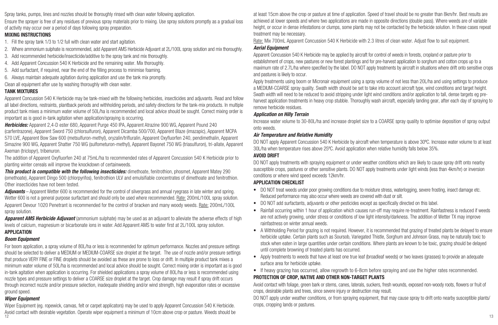Spray tanks, pumps, lines and nozzles should be thoroughly rinsed with clean water following application.

Ensure the sprayer is free of any residues of previous spray materials prior to mixing. Use spray solutions promptly as a gradual loss of activity may occur over a period of days following spray preparation.

#### **MIXING INSTRUCTIONS**

1. Fill the spray tank 1/3 to 1/2 full with clean water and start agitation.

- 2. Where ammonium sulphate is recommended, add Apparent AMS Herbicide Adjuvant at 2L/100L spray solution and mix thoroughly.
- 3. Add recommended herbicide/insecticide/additive to the spray tank and mix thoroughly.
- 4. Add Apparent Concussion 540 K Herbicide and the remaining water. Mix thoroughly.
- 5. Add surfactant, if required, near the end of the filling process to minimise foaming.
- 6. Always maintain adequate agitation during application and use the tank mix promptly.

Clean all equipment after use by washing thoroughly with clean water.

#### **TANK MIXTURES**

Apparent Concussion 540 K Herbicide may be tank-mixed with the following herbicides, insecticides and adjuvants. Read and follow all label directions, restraints, plantback periods and withholding periods, and safety directions for the tank-mix products. In multiple product tank mixes a minimum water volume of 50L/ha is recommended and local advice should be sought. Correct mixing order is important as is good in-tank agitation when application/spraying is occurring.

*Herbicides:* Apparent 2,4-D ester 680, Apparent Purge 450 IPA, Apparent Atrazine 900 WG, Apparent Pound 240 (carfentrazone), Apparent Sword 750 (chlorsulfuron), Apparent Dicamba 500/700, Apparent Blaze (imazapic), Apparent MCPA 570 LVE, Apparent Bow Saw 600 (metsulfuron-methyl), oryzalin/trifluralin, Apparent Oxyfluorfen 240, pendimethalin, Apparent Simazine 900 WG, Apparent Shatter 750 WG (sulfometuron-methyl), Apparent Bayonet 750 WG (triasulfuron), tri-allate, Apparent Axeman (triclopyr), tribenuron.

The addition of Apparent Oxyfluorfen 240 at 75mL/ha to recommended rates of Apparent Concussion 540 K Herbicide prior to planting winter cereals will improve the knockdown of certainweeds.

*This product is compatible with the following insecticides:* dimethoate, fenitrothion, phosmet, Apparent Matey 290 (omethoate), Apparent Dingo 500 (chlorpyrifos), fenitrothion ULV and emulsifiable concentrates of dimethoate and fenitrothion. Other insecticides have not been tested.

**Adjuvants** – Apparent Wetter 600 is recommended for the control of silvergrass and annual ryegrass in late winter and spring. Wetter 600 is not a general purpose surfactant and should only be used where recommended. Rate: 200mL/100L spray solution. Apparent Devour 1020 Penetrant is recommended for the control of bracken and many woody weeds. Rate: 200mL/100L spray solution.

*Apparent AMS Herbicide Adjuvant* (ammonium sulphate) may be used as an adjuvant to alleviate the adverse effects of high levels of calcium, magnesium or bicarbonate ions in water. Add Apparent AMS to water first at 2L/100L spray solution.

#### **APPLICATION**

#### *Boom Equipment*

For boom application, a spray volume of 80L/ha or less is recommended for optimum performance. Nozzles and pressure settings should be selected to deliver a MEDIUM or MEDIUM-COARSE size droplet at the target. The use of nozzle and/or pressure settings that produce VERY FINE or FINE droplets should be avoided as these are prone to loss or drift. In multiple product tank mixes a minimum water volume of 50L/ha is recommended and local advice should be sought. Correct mixing order is important as is good in-tank agitation when application is occurring. For shielded applications a spray volume of 80L/ha or less is recommended using nozzle types and pressure settings to deliver a COARSE size droplet at the target. Crop damage may result if spray drift occurs through incorrect nozzle and/or pressure selection, inadequate shielding and/or wind strength, high evaporation rates or excessive ground speed.

#### *Wiper Equipment*

 $12$  13 Wiper Equipment (eg. ropewick, canvas, felt or carpet applicators) may be used to apply Apparent Concussion 540 K Herbicide. Avoid contact with desirable vegetation. Operate wiper equipment a minimum of 10cm above crop or pasture. Weeds should be

at least 15cm above the crop or pasture at time of application. Speed of travel should be no greater than 8km/hr. Best results are achieved at lower speeds and where two applications are made in opposite directions (double pass). Where weeds are of variable height, or occur in dense infestations or clumps, some plants may not be contacted by the herbicide solution. In these cases repeat treatment may be necessary.

Rate: Mix 700mL Apparent Concussion 540 K Herbicide with 2.3 litres of clean water. Adjust flow to suit equipment.

#### *Aerial Equipment*

Apparent Concussion 540 K Herbicide may be applied by aircraft for control of weeds in forests, cropland or pasture prior to establishment of crops, new pastures or new forest plantings and for pre-harvest application to sorghum and cotton crops up to a maximum rate of 2.7L/ha where specified by the label. DO NOT apply treatments by aircraft in situations where drift onto sensitive crops and pastures is likely to occur.

Apply treatments using boom or Micronair equipment using a spray volume of not less than 20L/ha and using settings to produce a MEDIUM-COARSE spray quality. Swath width should be set to take into account aircraft type, wind conditions and target height. Swath width will need to be reduced to avoid stripping under light wind conditions and/or application to tall, dense targets eg preharvest application treatments in heavy crop stubble. Thoroughly wash aircraft, especially landing gear, after each day of spraying to remove herbicide residues.

#### *Application on Hilly Terrain*

Increase water volume to 30-80L/ha and increase droplet size to a COARSE spray quality to optimise deposition of spray output onto weeds.

#### *Air Temperature and Relative Humidity*

DO NOT apply Apparent Concussion 540 K Herbicide by aircraft when temperature is above 30ºC. Increase water volume to at least 30L/ha when temperature rises above 25ºC. Avoid application when relative humidity falls below 35%.

#### **AVOID DRIFT**

DO NOT apply treatments with spraying equipment or under weather conditions which are likely to cause spray drift onto nearby susceptible crops, pastures or other sensitive plants. DO NOT apply treatments under light winds (less than 4km/hr) or inversion conditions or where wind speed exceeds 12km/hr.

#### **APPLICATION CHECKLIST**

- DO NOT treat weeds under poor growing conditions due to moisture stress, waterlogging, severe frosting, insect damage etc. Reduced performance may also occur where weeds are covered with dust or silt.
- DO NOT add surfactants, adjuvants or other pesticides except as specifically directed on this label.
- Rainfall occurring within 1 hour of application which causes run-off may require re-treatment. Rainfastness is reduced if weeds are not actively growing, under stress or conditions of low light intensity/darkness. The addition of Wetter TX may improve rainfastness on winter annual weeds.
- A Withholding Period for grazing is not required. However, it is recommended that grazing of treated plants be delayed to ensure herbicide uptake. Certain plants such as Soursob, Variegated Thistle, Sorghum and Johnson Grass, may be naturally toxic to stock when eaten in large quantities under certain conditions. Where plants are known to be toxic, grazing should be delayed until complete browning of treated plants has occurred.
- Apply treatments to weeds that have at least one true leaf (broadleaf weeds) or two leaves (grasses) to provide an adequate surface area for herbicide uptake.
- If heavy grazing has occurred, allow regrowth to 6-8cm before spraying and use the higher rates recommended.

#### **PROTECTION OF CROP, NATIVE AND OTHER NON-TARGET PLANTS**

Avoid contact with foliage, green bark or stems, canes, laterals, suckers, fresh wounds, exposed non-woody roots, flowers or fruit of crops, desirable plants and trees, since severe injury or destruction may result.

DO NOT apply under weather conditions, or from spraying equipment, that may cause spray to drift onto nearby susceptible plants/ crops, cropping lands or pastures.